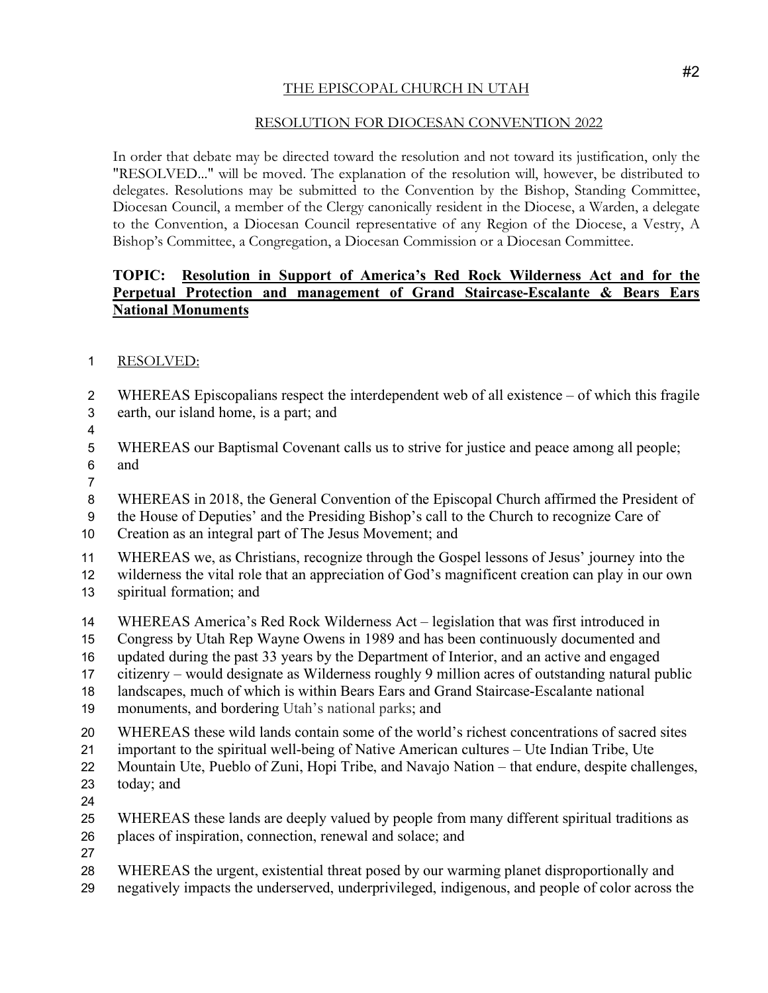## THE EPISCOPAL CHURCH IN UTAH

## RESOLUTION FOR DIOCESAN CONVENTION 2022

In order that debate may be directed toward the resolution and not toward its justification, only the "RESOLVED..." will be moved. The explanation of the resolution will, however, be distributed to delegates. Resolutions may be submitted to the Convention by the Bishop, Standing Committee, Diocesan Council, a member of the Clergy canonically resident in the Diocese, a Warden, a delegate to the Convention, a Diocesan Council representative of any Region of the Diocese, a Vestry, A Bishop's Committee, a Congregation, a Diocesan Commission or a Diocesan Committee.

## **TOPIC: Resolution in Support of America's Red Rock Wilderness Act and for the Perpetual Protection and management of Grand Staircase-Escalante & Bears Ears National Monuments**

- RESOLVED:
- WHEREAS Episcopalians respect the interdependent web of all existence of which this fragile earth, our island home, is a part; and
- 
- WHEREAS our Baptismal Covenant calls us to strive for justice and peace among all people; and
- 

WHEREAS in 2018, the General Convention of the Episcopal Church affirmed the President of

- the House of Deputies' and the Presiding Bishop's call to the Church to recognize Care of
- Creation as an integral part of The Jesus Movement; and
- WHEREAS we, as Christians, recognize through the Gospel lessons of Jesus' journey into the
- wilderness the vital role that an appreciation of God's magnificent creation can play in our own spiritual formation; and
- WHEREAS America's Red Rock Wilderness Act legislation that was first introduced in
- Congress by Utah Rep Wayne Owens in 1989 and has been continuously documented and
- updated during the past 33 years by the Department of Interior, and an active and engaged
- citizenry would designate as Wilderness roughly 9 million acres of outstanding natural public
- landscapes, much of which is within Bears Ears and Grand Staircase-Escalante national
- monuments, and bordering Utah's national parks; and
- WHEREAS these wild lands contain some of the world's richest concentrations of sacred sites
- important to the spiritual well-being of Native American cultures Ute Indian Tribe, Ute
- Mountain Ute, Pueblo of Zuni, Hopi Tribe, and Navajo Nation that endure, despite challenges, today; and
- 
- WHEREAS these lands are deeply valued by people from many different spiritual traditions as places of inspiration, connection, renewal and solace; and
- 
- WHEREAS the urgent, existential threat posed by our warming planet disproportionally and
- negatively impacts the underserved, underprivileged, indigenous, and people of color across the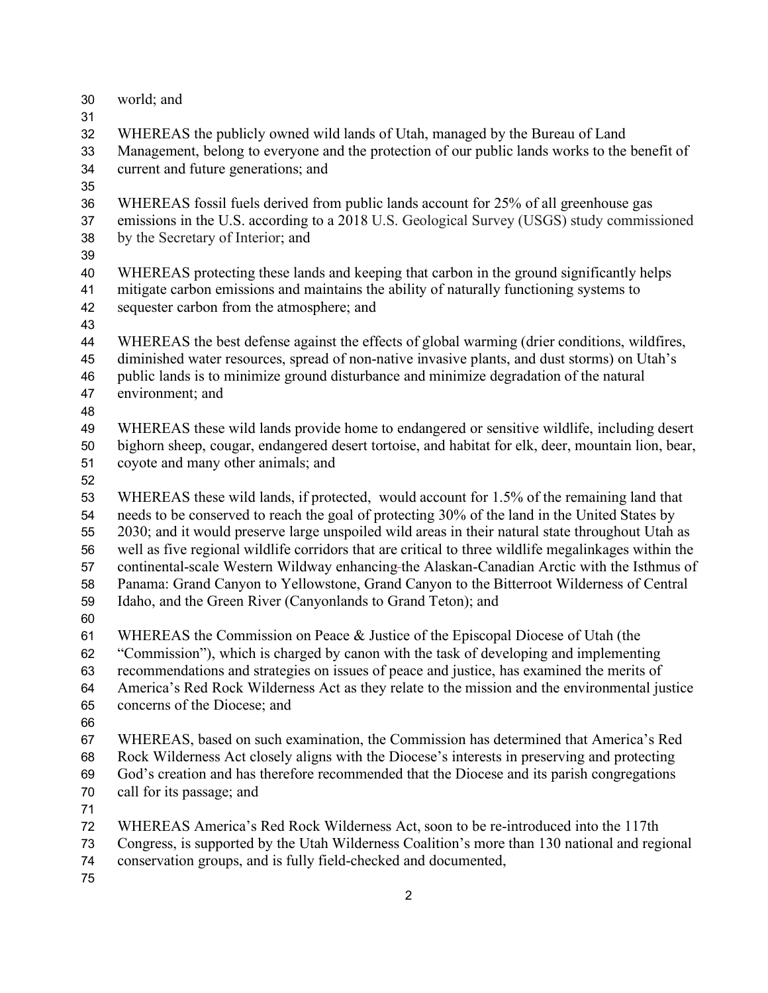- world; and
- 

 WHEREAS the publicly owned wild lands of Utah, managed by the Bureau of Land Management, belong to everyone and the protection of our public lands works to the benefit of current and future generations; and

 WHEREAS fossil fuels derived from public lands account for 25% of all greenhouse gas emissions in the U.S. according to a 2018 U.S. Geological Survey (USGS) study commissioned by the Secretary of Interior; and

 WHEREAS protecting these lands and keeping that carbon in the ground significantly helps mitigate carbon emissions and maintains the ability of naturally functioning systems to sequester carbon from the atmosphere; and

 WHEREAS the best defense against the effects of global warming (drier conditions, wildfires, diminished water resources, spread of non-native invasive plants, and dust storms) on Utah's public lands is to minimize ground disturbance and minimize degradation of the natural environment; and

 WHEREAS these wild lands provide home to endangered or sensitive wildlife, including desert bighorn sheep, cougar, endangered desert tortoise, and habitat for elk, deer, mountain lion, bear, coyote and many other animals; and

 WHEREAS these wild lands, if protected, would account for 1.5% of the remaining land that needs to be conserved to reach the goal of protecting 30% of the land in the United States by 2030; and it would preserve large unspoiled wild areas in their natural state throughout Utah as well as five regional wildlife corridors that are critical to three wildlife megalinkages within the continental-scale Western Wildway enhancing the Alaskan-Canadian Arctic with the Isthmus of Panama: Grand Canyon to Yellowstone, Grand Canyon to the Bitterroot Wilderness of Central Idaho, and the Green River (Canyonlands to Grand Teton); and

 WHEREAS the Commission on Peace & Justice of the Episcopal Diocese of Utah (the "Commission"), which is charged by canon with the task of developing and implementing

recommendations and strategies on issues of peace and justice, has examined the merits of

 America's Red Rock Wilderness Act as they relate to the mission and the environmental justice concerns of the Diocese; and

 WHEREAS, based on such examination, the Commission has determined that America's Red Rock Wilderness Act closely aligns with the Diocese's interests in preserving and protecting God's creation and has therefore recommended that the Diocese and its parish congregations call for its passage; and

WHEREAS America's Red Rock Wilderness Act, soon to be re-introduced into the 117th

 Congress, is supported by the Utah Wilderness Coalition's more than 130 national and regional conservation groups, and is fully field-checked and documented,